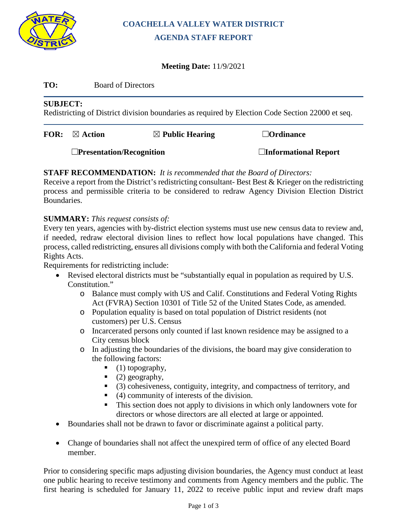

### **COACHELLA VALLEY WATER DISTRICT AGENDA STAFF REPORT**

### **Meeting Date:** 11/9/2021

#### **TO:** Board of Directors

#### **SUBJECT:**

Redistricting of District division boundaries as required by Election Code Section 22000 et seq.

| FOR: | $\boxtimes$ Action              | $\boxtimes$ Public Hearing | $\Box$ Ordinance            |  |  |
|------|---------------------------------|----------------------------|-----------------------------|--|--|
|      | $\Box$ Presentation/Recognition |                            | $\Box$ Informational Report |  |  |

### **STAFF RECOMMENDATION:** *It is recommended that the Board of Directors:*

Receive a report from the District's redistricting consultant- Best  $\&$  Krieger on the redistricting process and permissible criteria to be considered to redraw Agency Division Election District Boundaries.

### **SUMMARY:** *This request consists of:*

Every ten years, agencies with by-district election systems must use new census data to review and, if needed, redraw electoral division lines to reflect how local populations have changed. This process, called redistricting, ensures all divisions comply with both the California and federal Voting Rights Acts.

Requirements for redistricting include:

- Revised electoral districts must be "substantially equal in population as required by U.S. Constitution."
	- o Balance must comply with US and Calif. Constitutions and Federal Voting Rights Act (FVRA) Section 10301 of Title 52 of the United States Code, as amended.
	- o Population equality is based on total population of District residents (not customers) per U.S. Census
	- o Incarcerated persons only counted if last known residence may be assigned to a City census block
	- o In adjusting the boundaries of the divisions, the board may give consideration to the following factors:
		- $\bullet$  (1) topography,
		- $(2)$  geography,
		- (3) cohesiveness, contiguity, integrity, and compactness of territory, and
		- $(4)$  community of interests of the division.
		- This section does not apply to divisions in which only landowners vote for directors or whose directors are all elected at large or appointed.
- Boundaries shall not be drawn to favor or discriminate against a political party.
- Change of boundaries shall not affect the unexpired term of office of any elected Board member.

Prior to considering specific maps adjusting division boundaries, the Agency must conduct at least one public hearing to receive testimony and comments from Agency members and the public. The first hearing is scheduled for January 11, 2022 to receive public input and review draft maps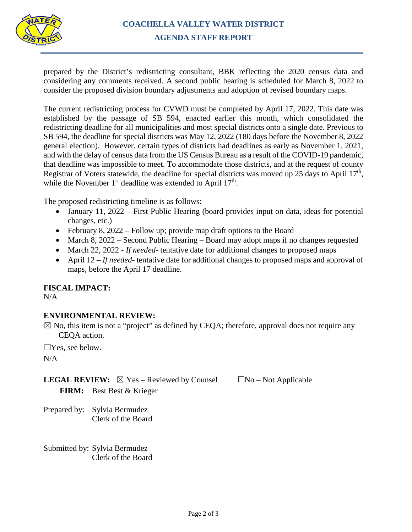

prepared by the District's redistricting consultant, BBK reflecting the 2020 census data and considering any comments received. A second public hearing is scheduled for March 8, 2022 to consider the proposed division boundary adjustments and adoption of revised boundary maps.

The current redistricting process for CVWD must be completed by April 17, 2022. This date was established by the passage of SB 594, enacted earlier this month, which consolidated the redistricting deadline for all municipalities and most special districts onto a single date. Previous to SB 594, the deadline for special districts was May 12, 2022 (180 days before the November 8, 2022 general election). However, certain types of districts had deadlines as early as November 1, 2021, and with the delay of census data from the US Census Bureau as a result of the COVID-19 pandemic, that deadline was impossible to meet. To accommodate those districts, and at the request of county Registrar of Voters statewide, the deadline for special districts was moved up 25 days to April 17<sup>th</sup>, while the November  $1<sup>st</sup>$  deadline was extended to April  $17<sup>th</sup>$ .

The proposed redistricting timeline is as follows:

- January 11, 2022 First Public Hearing (board provides input on data, ideas for potential changes, etc.)
- February 8, 2022 Follow up; provide map draft options to the Board
- March 8, 2022 Second Public Hearing Board may adopt maps if no changes requested
- March 22, 2022  *If needed-* tentative date for additional changes to proposed maps
- April 12 *If needed-* tentative date for additional changes to proposed maps and approval of maps, before the April 17 deadline.

**FISCAL IMPACT:**

N/A

### **ENVIRONMENTAL REVIEW:**

 $\boxtimes$  No, this item is not a "project" as defined by CEQA; therefore, approval does not require any CEQA action.

☐Yes, see below.

N/A

**LEGAL REVIEW:**  $\boxtimes$  Yes – Reviewed by Counsel  $\Box$ No – Not Applicable **FIRM:** Best Best & Krieger

Prepared by: Sylvia Bermudez Clerk of the Board

Submitted by: Sylvia Bermudez Clerk of the Board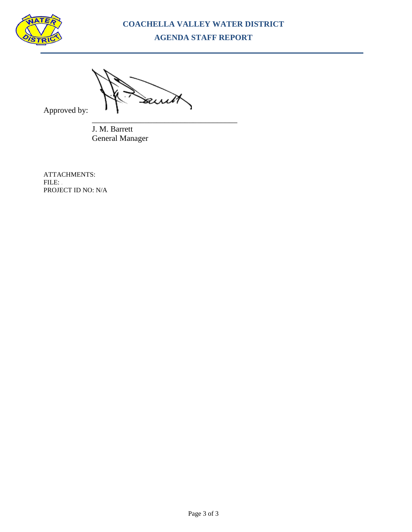

### **COACHELLA VALLEY WATER DISTRICT AGENDA STAFF REPORT**

awit

Approved by:

\_\_\_\_\_\_\_\_\_\_\_\_\_\_\_\_\_\_\_\_\_\_\_\_\_\_\_\_\_\_\_\_\_\_\_\_ J. M. Barrett General Manager

ATTACHMENTS: FILE: . PROJECT ID NO: N/A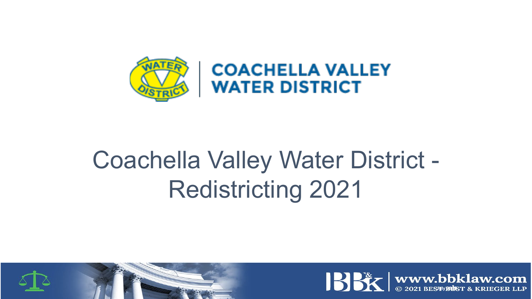

**COACHELLA VALLEY WATER DISTRICT** 

# Coachella Valley Water District - Redistricting 2021



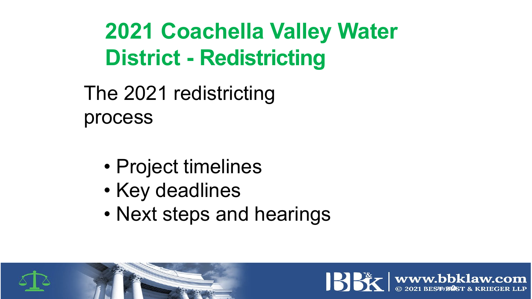# **2021 Coachella Valley Water District - Redistricting**

The 2021 redistricting process

- Project timelines
- Key deadlines
- Next steps and hearings



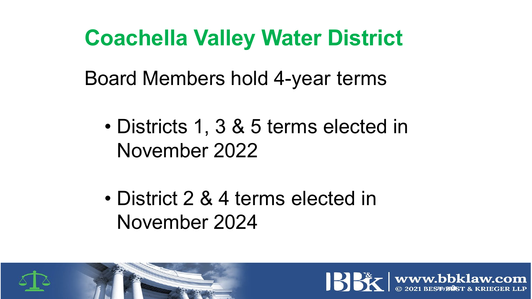## **Coachella Valley Water District**

Board Members hold 4-year terms

- Districts 1, 3 & 5 terms elected in November 2022
- District 2 & 4 terms elected in November 2024



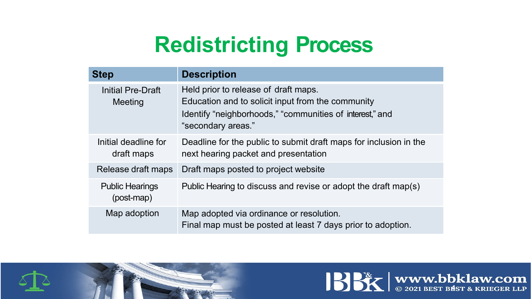## **Redistricting Process**

| <b>Step</b>                          | <b>Description</b>                                                                                                                                                          |
|--------------------------------------|-----------------------------------------------------------------------------------------------------------------------------------------------------------------------------|
| Initial Pre-Draft<br>Meeting         | Held prior to release of draft maps.<br>Education and to solicit input from the community<br>Identify "neighborhoods," "communities of interest," and<br>"secondary areas." |
| Initial deadline for<br>draft maps   | Deadline for the public to submit draft maps for inclusion in the<br>next hearing packet and presentation                                                                   |
| Release draft maps                   | Draft maps posted to project website                                                                                                                                        |
| <b>Public Hearings</b><br>(post-map) | Public Hearing to discuss and revise or adopt the draft map(s)                                                                                                              |
| Map adoption                         | Map adopted via ordinance or resolution.<br>Final map must be posted at least 7 days prior to adoption.                                                                     |



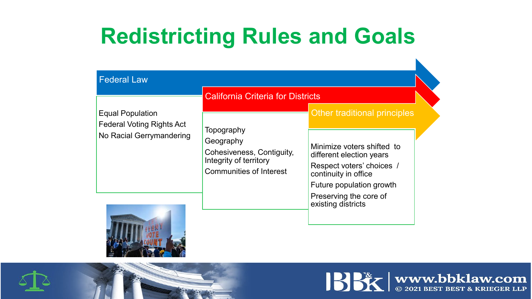## **Redistricting Rules and Goals**

|                                                             | <b>California Criteria for Districts</b>                                                                         |                                                                                                                                                                                         |  |  |  |
|-------------------------------------------------------------|------------------------------------------------------------------------------------------------------------------|-----------------------------------------------------------------------------------------------------------------------------------------------------------------------------------------|--|--|--|
| <b>Equal Population</b><br><b>Federal Voting Rights Act</b> |                                                                                                                  | Other traditional principles                                                                                                                                                            |  |  |  |
| No Racial Gerrymandering                                    | Topography<br>Geography<br>Cohesiveness, Contiguity,<br>Integrity of territory<br><b>Communities of Interest</b> | Minimize voters shifted to<br>different election years<br>Respect voters' choices /<br>continuity in office<br>Future population growth<br>Preserving the core of<br>existing districts |  |  |  |



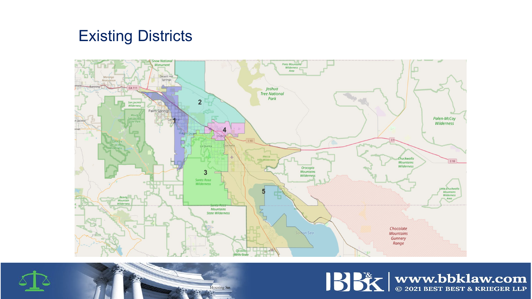### Existing Districts



**Housing Stats** 



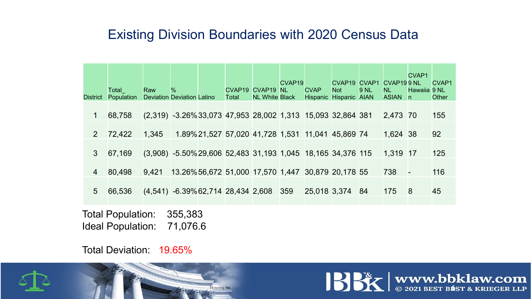### Existing Division Boundaries with 2020 Census Data

| <b>District</b> | Total<br><b>Population</b> | Raw                                                           | ℅<br><b>Deviation Deviation Latino</b>            | CVAP <sub>19</sub><br>Total                      | CVAP <sub>19</sub><br><b>NL White Black</b> | CVAP <sub>19</sub><br><b>NL</b> | <b>CVAP</b><br><b>Hispanic</b> | CVAP <sub>19</sub><br><b>Not</b><br><b>Hispanic AIAN</b> | CVAP1<br>9 NL | CVAP <sub>199</sub> NL<br>NL.<br><b>ASIAN</b> | <b>CVAP1</b><br>Hawaiia 9 NL<br>n. | CVAP1<br><b>Other</b> |
|-----------------|----------------------------|---------------------------------------------------------------|---------------------------------------------------|--------------------------------------------------|---------------------------------------------|---------------------------------|--------------------------------|----------------------------------------------------------|---------------|-----------------------------------------------|------------------------------------|-----------------------|
| $\mathbf 1$     | 68,758                     | $(2,319)$ -3.26% 33,073 47,953 28,002 1,313 15,093 32,864 381 |                                                   |                                                  |                                             |                                 |                                |                                                          |               | 2,473 70                                      |                                    | 155                   |
| $\overline{2}$  | 72,422                     | 1,345                                                         |                                                   | 1.89%21,527 57,020 41,728 1,531 11,041 45,869 74 |                                             |                                 |                                |                                                          |               | 1,624 38                                      |                                    | 92                    |
| 3 <sup>°</sup>  | 67,169                     | (3,908) -5.50% 29,606 52,483 31,193 1,045 18,165 34,376 115   |                                                   |                                                  |                                             |                                 |                                |                                                          |               | 1,319 17                                      |                                    | 125                   |
| $\overline{4}$  | 80,498                     | 9,421                                                         | 13.26%56,672 51,000 17,570 1,447 30,879 20,178 55 |                                                  |                                             |                                 |                                |                                                          |               | 738                                           |                                    | 116                   |
| 5 <sup>5</sup>  | 66,536                     | $(4,541)$ -6.39% 62,714 28,434 2,608                          |                                                   |                                                  |                                             | 359                             | 25,018 3,374                   |                                                          | -84           | 175                                           | 8                                  | 45                    |
|                 |                            |                                                               |                                                   |                                                  |                                             |                                 |                                |                                                          |               |                                               |                                    |                       |

Total Population: 355,383 Ideal Population: 71,076.6

Total Deviation: 19.65%



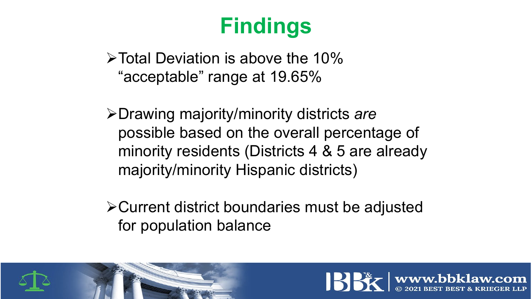## **Findings**

 $\triangleright$  Total Deviation is above the 10% "acceptable" range at 19.65%

Drawing majority/minority districts *are*  possible based on the overall percentage of minority residents (Districts 4 & 5 are already majority/minority Hispanic districts)

Current district boundaries must be adjusted for population balance



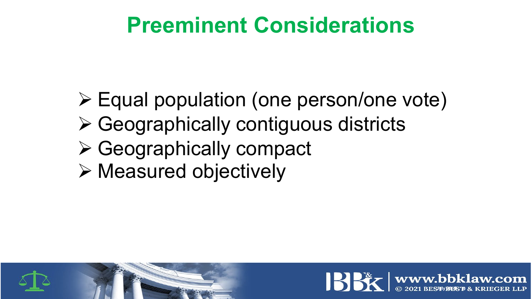## **Preeminent Considerations**

- Equal population (one person/one vote)
- Geographically contiguous districts
- Geographically compact
- Measured objectively



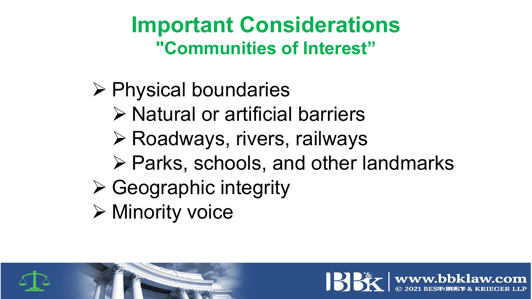### **Important Considerations "Communities of Interest"**

- $\triangleright$  Physical boundaries
	- $\triangleright$  Natural or artificial barriers
	- **≻ Roadways, rivers, railways**
	- $\triangleright$  Parks, schools, and other landmarks
- $\triangleright$  Geographic integrity
- Minority voice



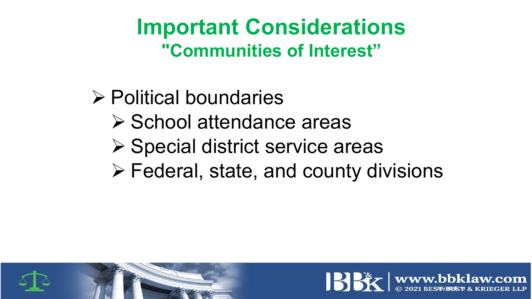### **Important Considerations "Communities of Interest"**

- **≻ Political boundaries** 
	- $\triangleright$  School attendance areas
	- $\triangleright$  Special district service areas
	- $\triangleright$  Federal, state, and county divisions



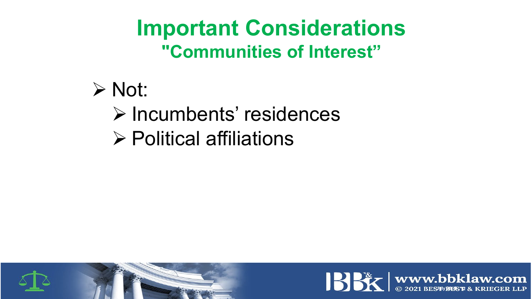### **Important Considerations "Communities of Interest"**

- $\triangleright$  Not:
	- **Example Exercise Finders** Finders
	- $\triangleright$  Political affiliations



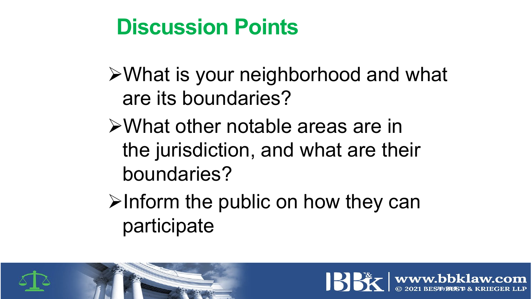## **Discussion Points**

What is your neighborhood and what are its boundaries?

What other notable areas are in the jurisdiction, and what are their boundaries?

 $\triangleright$  Inform the public on how they can participate



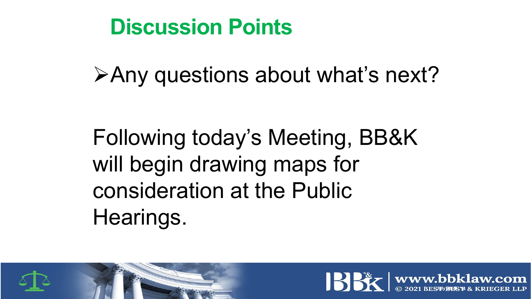### **Discussion Points**

Any questions about what's next?

Following today's Meeting, BB&K will begin drawing maps for consideration at the Public Hearings.



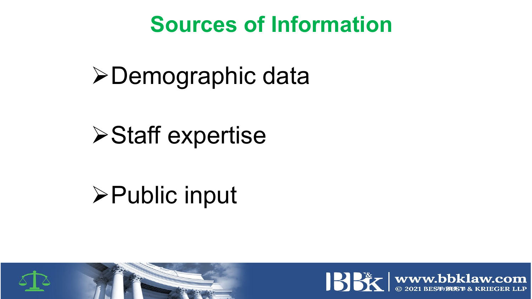### **Sources of Information**

**≻Demographic data** 

**≻Staff expertise** 

# Public input



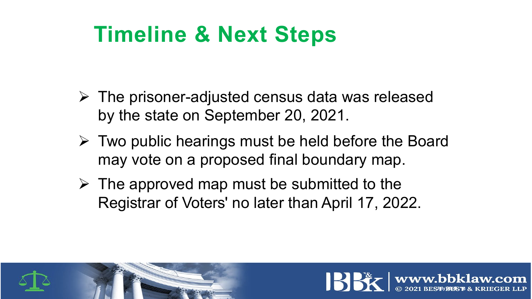## **Timeline & Next Steps**

- $\triangleright$  The prisoner-adjusted census data was released by the state on September 20, 2021.
- $\triangleright$  Two public hearings must be held before the Board may vote on a proposed final boundary map.
- $\triangleright$  The approved map must be submitted to the Registrar of Voters' no later than April 17, 2022.



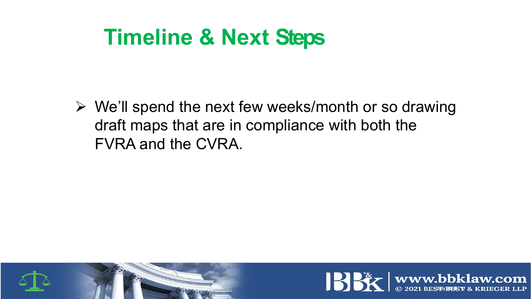### **Timeline & Next Steps**

 $\triangleright$  We'll spend the next few weeks/month or so drawing draft maps that are in compliance with both the FVRA and the CVRA.